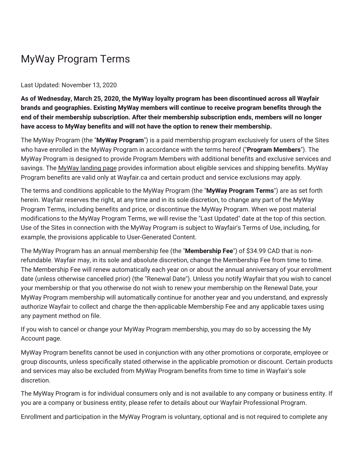## MyWay Program Terms

## Last Updated: November 13, 2020

**As of Wednesday, March 25, 2020, the MyWay loyalty program has been discontinued across all Wayfair brands and geographies. Existing MyWay members will continue to receive program benefits through the end of their membership subscription. After their membership subscription ends, members will no longer have access to MyWay benefits and will not have the option to renew their membership.**

The MyWay Program (the "**MyWay Program**") is a paid membership program exclusively for users of the Sites who have enrolled in the MyWay Program in accordance with the terms hereof ("**Program Members**"). The MyWay Program is designed to provide Program Members with additional benefits and exclusive services and savings. The MyWay [landing](https://www.wayfair.ca/myway) page provides information about eligible services and shipping benefits. MyWay Program benefits are valid only at Wayfair.ca and certain product and service exclusions may apply.

The terms and conditions applicable to the MyWay Program (the "**MyWay Program Terms**") are as set forth herein. Wayfair reserves the right, at any time and in its sole discretion, to change any part of the MyWay Program Terms, including benefits and price, or discontinue the MyWay Program. When we post material modifications to the MyWay Program Terms, we will revise the "Last Updated" date at the top of this section. Use of the Sites in connection with the MyWay Program is subject to Wayfair's Terms of Use, including, for example, the provisions applicable to User-Generated Content.

The MyWay Program has an annual membership fee (the "**Membership Fee**") of \$34.99 CAD that is nonrefundable. Wayfair may, in its sole and absolute discretion, change the Membership Fee from time to time. The Membership Fee will renew automatically each year on or about the annual anniversary of your enrollment date (unless otherwise cancelled prior) (the "Renewal Date"). Unless you notify Wayfair that you wish to cancel your membership or that you otherwise do not wish to renew your membership on the Renewal Date, your MyWay Program membership will automatically continue for another year and you understand, and expressly authorize Wayfair to collect and charge the then-applicable Membership Fee and any applicable taxes using any payment method on file.

If you wish to cancel or change your MyWay Program membership, you may do so by accessing the My Account page.

MyWay Program benefits cannot be used in conjunction with any other promotions or corporate, employee or group discounts, unless specifically stated otherwise in the applicable promotion or discount. Certain products and services may also be excluded from MyWay Program benefits from time to time in Wayfair's sole discretion.

The MyWay Program is for individual consumers only and is not available to any company or business entity. If you are a company or business entity, please refer to details about our Wayfair Professional Program.

Enrollment and participation in the MyWay Program is voluntary, optional and is not required to complete any